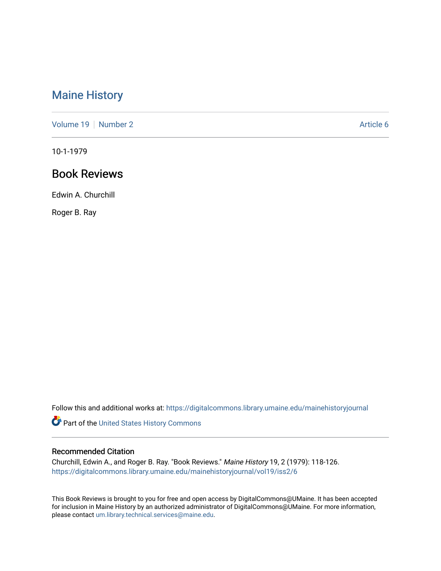## [Maine History](https://digitalcommons.library.umaine.edu/mainehistoryjournal)

[Volume 19](https://digitalcommons.library.umaine.edu/mainehistoryjournal/vol19) [Number 2](https://digitalcommons.library.umaine.edu/mainehistoryjournal/vol19/iss2) Article 6

10-1-1979

## Book Reviews

Edwin A. Churchill

Roger B. Ray

Follow this and additional works at: [https://digitalcommons.library.umaine.edu/mainehistoryjournal](https://digitalcommons.library.umaine.edu/mainehistoryjournal?utm_source=digitalcommons.library.umaine.edu%2Fmainehistoryjournal%2Fvol19%2Fiss2%2F6&utm_medium=PDF&utm_campaign=PDFCoverPages) 

Part of the [United States History Commons](http://network.bepress.com/hgg/discipline/495?utm_source=digitalcommons.library.umaine.edu%2Fmainehistoryjournal%2Fvol19%2Fiss2%2F6&utm_medium=PDF&utm_campaign=PDFCoverPages) 

## Recommended Citation

Churchill, Edwin A., and Roger B. Ray. "Book Reviews." Maine History 19, 2 (1979): 118-126. [https://digitalcommons.library.umaine.edu/mainehistoryjournal/vol19/iss2/6](https://digitalcommons.library.umaine.edu/mainehistoryjournal/vol19/iss2/6?utm_source=digitalcommons.library.umaine.edu%2Fmainehistoryjournal%2Fvol19%2Fiss2%2F6&utm_medium=PDF&utm_campaign=PDFCoverPages)

This Book Reviews is brought to you for free and open access by DigitalCommons@UMaine. It has been accepted for inclusion in Maine History by an authorized administrator of DigitalCommons@UMaine. For more information, please contact [um.library.technical.services@maine.edu.](mailto:um.library.technical.services@maine.edu)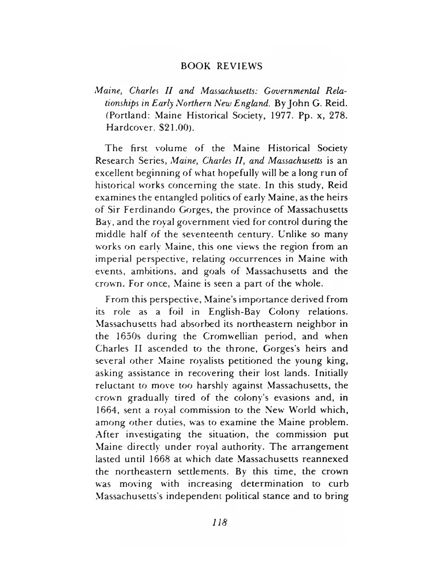## BOOK REVIEWS

*Maine, Charles II and Massachusetts: Governmental Relationships in Early Northern New England.* By John G. Reid. (Portland: Maine Historical Society, 1977. Pp. x, 278. Hardcover. \$21.00).

The first volume of the Maine Historical Society Research Series, *Maine, Charles II, and Massachusetts* is an excellent beginning of what hopefully will be a long run of historical works concerning the state. In this study, Reid examines the entangled politics of early Maine, as the heirs of Sir Ferdinando Gorges, the province of Massachusetts Bay, and the royal government vied for control during the middle half of the seventeenth century. Unlike so many works on early Maine, this one views the region from an imperial perspective, relating occurrences in Maine with events, ambitions, and goals of Massachusetts and the crown. For once, Maine is seen a part of the whole.

From this perspective, Maine's im portance derived from its role as a foil in English-Bay Colony relations. Massachusetts had absorbed its northeastern neighbor in the 1650s during the Cromwellian period, and when Charles II ascended to the throne, Gorges's heirs and several other Maine royalists petitioned the young king, asking assistance in recovering their lost lands. Initially reluctant to move too harshly against Massachusetts, the crown gradually tired of the colony's evasions and, in 1664, sent a royal commission to the New World which, among other duties, was to examine the Maine problem. After investigating the situation, the commission put Maine directly under royal authority. The arrangement lasted until 1668 at which date Massachusetts reannexed the northeastern settlements. By this time, the crown was moving with increasing determination to curb Massachusetts's independent political stance and to bring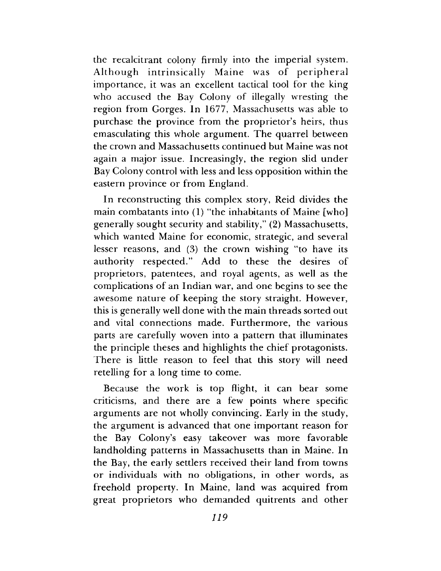the recalcitrant colony firmly into the imperial system. Although intrinsically Maine was of peripheral importance, it was an excellent tactical tool for the king who accused the Bay Colony of illegally wresting the region from Gorges. In 1677, Massachusetts was able to purchase the province from the proprietor's heirs, thus emasculating this whole argument. The quarrel between the crown and Massachusetts continued but Maine was not again a major issue. Increasingly, the region slid under Bay Colony control with less and less opposition within the eastern province or from England.

In reconstructing this complex story, Reid divides the main combatants into  $(1)$  "the inhabitants of Maine [who] generally sought security and stability," (2) Massachusetts, which wanted Maine for economic, strategic, and several lesser reasons, and (3) the crown wishing "to have its authority respected." Add to these the desires of proprietors, patentees, and royal agents, as well as the complications of an Indian war, and one begins to see the awesome nature of keeping the story straight. However, this is generally well done with the main threads sorted out and vital connections made. Furthermore, the various parts are carefully woven into a pattern that illuminates the principle theses and highlights the chief protagonists. There is little reason to feel that this story will need retelling for a long time to come.

Because the work is top flight, it can bear some criticisms, and there are a few points where specific arguments are not wholly convincing. Early in the study, the argument is advanced that one important reason for the Bay Colony's easy takeover was more favorable landholding patterns in Massachusetts than in Maine. In the Bay, the early settlers received their land from towns or individuals with no obligations, in other words, as freehold property. In Maine, land was acquired from great proprietors who dem anded quitrents and other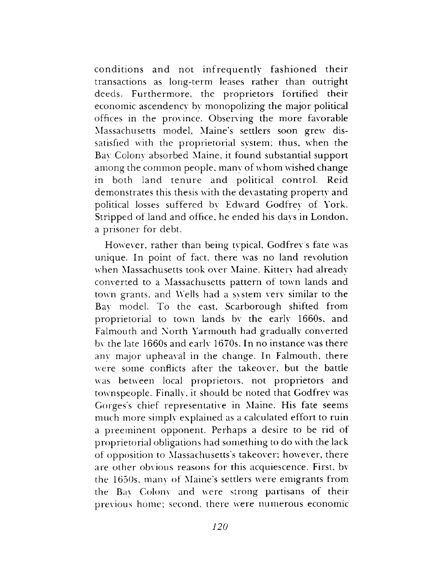conditions and not infrequently fashioned their transactions as long-term leases rather than outright deeds. Furthermore, the proprietors fortified their economic ascendency by monopolizing the major political offices in the province. Observing the more favorable Massachusetts model, Maine's settlers soon grew dissatisfied with the proprietorial system; thus, when the Bay Colony absorbed Maine, it found substantial support among the common people, many of whom wished change in both land tenure and political control. Reid dem onstrates this thesis with the devastating property and political losses suffered by Edward Godfrey of York. Stripped of land and office, he ended his days in London, a prisoner for debt.

However, rather than being typical, Godfrey's fate was unique. In point of fact, there was no land revolution when Massachusetts took over Maine. Kittery had already converted to a Massachusetts pattern of town lands and town grants, and Wells had a svstem very similar to the Bay model. To the east, Scarborough shifted from proprietorial to town lands bv the early 1660s, and Falmouth and North Yarmouth had gradually converted bv the late 1660s and early 1670s. In no instance was there any major upheaval in the change. In Falmouth, there were some conflicts after the takeover, but the battle was between local proprietors, not proprietors and townspeople. Finally, it should be noted that Godfrey was Gorges's chief representative in Maine. His fate seems much more simply explained as a calculated effort to ruin a preeminent opponent. Perhaps a desire to be rid of proprietorial obligations had som ething to do with the lack of opposition to Massachusetts's takeover; however, there are other obvious reasons for this acquiescence. First, by the 1650s, many of Maine's settlers were emigrants from the Bav Colony and were strong partisans of their previous home; second, there were numerous economic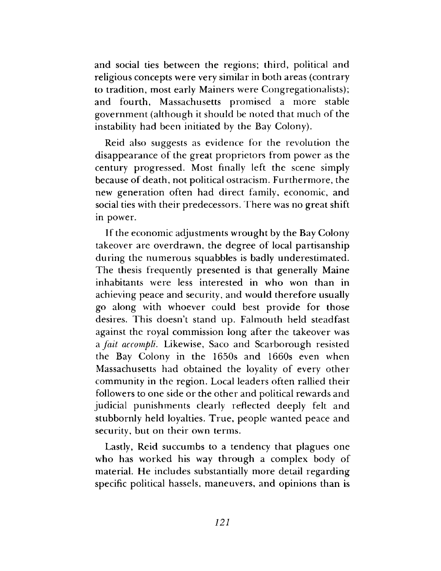and social ties between the regions; third, political and religious concepts were very similar in both areas (contrary to tradition, most early Mainers were Congregationalists); and fourth, Massachusetts promised a more stable government (although it should be noted that much of the instability had been initiated by the Bay Colony).

Reid also suggests as evidence for the revolution the disappearance of the great proprietors from power as the century progressed. Most finally left the scene simply because of death, not political ostracism. Furthermore, the new generation often had direct family, economic, and social ties with their predecessors. There was no great shift in power.

If the economic adjustments wrought by the Bay Colony takeover are overdrawn, the degree of local partisanship during the numerous squabbles is badly underestimated. The thesis frequently presented is that generally Maine inhabitants were less interested in who won than in achieving peace and security, and would therefore usually go along with whoever could best provide for those desires. This doesn't stand up. Falmouth held steadfast against the royal commission long after the takeover was a *fait accompli.* Likewise, Saco and Scarborough resisted the Bay Colony in the 1650s and 1660s even when Massachusetts had obtained the loyality of every other community in the region. Local leaders often rallied their followers to one side or the other and political rewards and judicial punishments clearly reflected deeply felt and stubbornly held loyalties. True, people wanted peace and security, but on their own terms.

Lastly, Reid succumbs to a tendency that plagues one who has worked his way through a complex body of material. He includes substantially more detail regarding specific political hassels, maneuvers, and opinions than is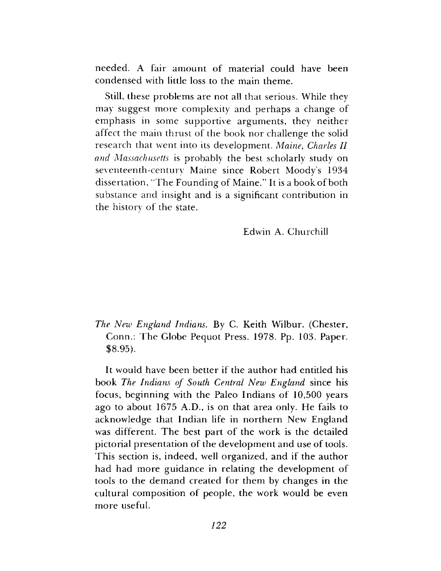needed. A fair amount of material could have been condensed with little loss to the main theme.

Still, these problems are not all that serious. While they may suggest more complexity and perhaps a change of emphasis in some supportive arguments, they neither affect the main thrust of the book nor challenge the solid research that went into its development. *Maine*, *Charles II and Massachusetts* is probably the best scholarly study on seventeenth-century Maine since Robert Moody's 1934 dissertation, "T he Founding of Maine." It is a book of both substance and insight and is a significant contribution in the history of the state.

Edwin A. Churchill

*The New England Indians.* By C. Keith Wilbur. (Chester, Conn.: The Globe Pequot Press. 1978. Pp. 103. Paper. \$8.95).

It would have been better if the author had entitled his book *The Indians of South Central New England* since his focus, beginning with the Paleo Indians of 10,500 years ago to about 1675 A.D., is on that area only. He fails to acknowledge that Indian life in northern New England was different. The best part of the work is the detailed pictorial presentation of the development and use of tools. This section is, indeed, well organized, and if the author had had more guidance in relating the development of tools to the demand created for them by changes in the cultural composition of people, the work would be even more useful.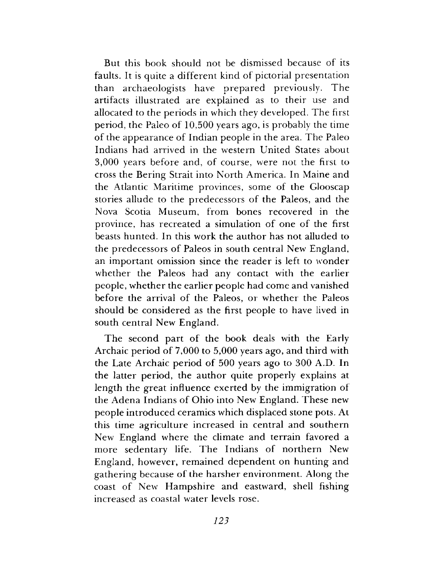But this book should not be dismissed because of its faults. It is quite a different kind of pictorial presentation than archaeologists have prepared previously. The artifacts illustrated are explained as to their use and allocated to the periods in which they developed. The first period, the Paleo of 10,500 years ago, is probably the time of the appearance of Indian people in the area. The Paleo Indians had arrived in the western United States about 3,000 years before and, of course, were not the first to cross the Bering Strait into North America. In Maine and the Atlantic Maritime provinces, some of the Glooscap stories allude to the predecessors of the Paleos, and the Nova Scotia Museum, from bones recovered in the province, has recreated a simulation of one of the first beasts hunted. In this work the author has not alluded to the predecessors of Paleos in south central New England, an important omission since the reader is left to wonder whether the Paleos had any contact with the earlier people, w hether the earlier people had come and vanished before the arrival of the Paleos, or whether the Paleos should be considered as the first people to have lived in south central New England.

The second part of the book deals with the Early Archaic period of 7,000 to 5,000 years ago, and third with the Late Archaic period of 500 years ago to 300 A.D. In the latter period, the author quite properly explains at length the great influence exerted by the immigration of the Adena Indians of Ohio into New England. These new people introduced ceramics which displaced stone pots. At this time agriculture increased in central and southern New England where the climate and terrain favored a more sedentary life. The Indians of northern New England, however, rem ained dependent on hunting and gathering because of the harsher environment. Along the coast of New Hampshire and eastward, shell fishing increased as coastal water levels rose.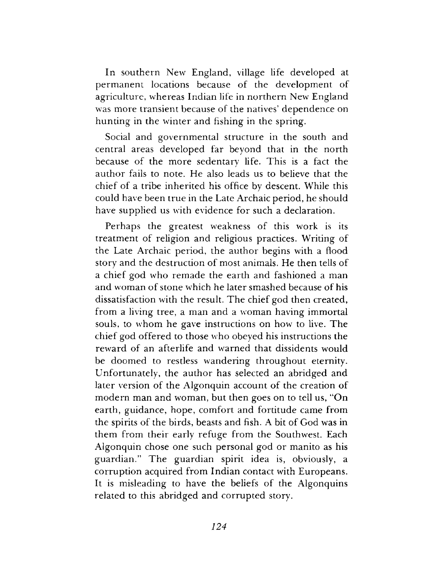In southern New England, village life developed at permanent locations because of the development of agriculture, whereas Indian life in northern New England was more transient because of the natives' dependence on hunting in the winter and fishing in the spring.

Social and governmental structure in the south and central areas developed far beyond that in the north because of the more sedentary life. This is a fact the author fails to note. He also leads us to believe that the chief of a tribe inherited his office by descent. While this could have been true in the Late Archaic period, he should have supplied us with evidence for such a declaration.

Perhaps the greatest weakness of this work is its treatment of religion and religious practices. Writing of the Late Archaic period, the author begins with a flood story and the destruction of most animals. He then tells of a chief god who rem ade the earth and fashioned a man and woman of stone which he later smashed because of his dissatisfaction with the result. The chief god then created, from a living tree, a man and a woman having immortal souls, to whom he gave instructions on how to live. The chief god offered to those who obeyed his instructions the reward of an afterlife and warned that dissidents would be doomed to restless wandering throughout eternity. Unfortunately, the author has selected an abridged and later version of the Algonquin account of the creation of modern man and woman, but then goes on to tell us, "On earth, guidance, hope, comfort and fortitude came from the spirits of the birds, beasts and fish. A bit of God was in them from their early refuge from the Southwest. Each Algonquin chose one such personal god or manito as his guardian." The guardian spirit idea is, obviously, a corruption acquired from Indian contact with Europeans. It is misleading to have the beliefs of the Algonquins related to this abridged and corrupted story.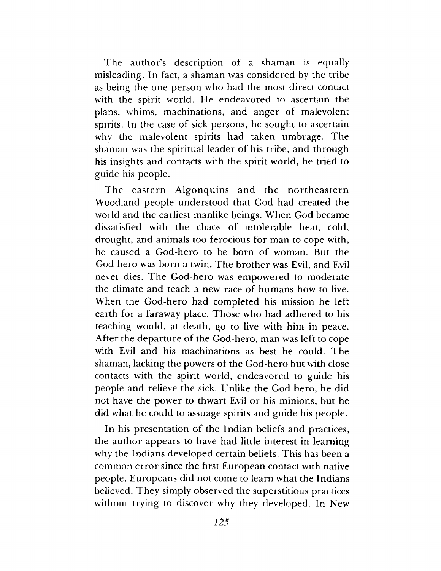The author's description of a shaman is equally misleading. In fact, a shaman was considered by the tribe as being the one person who had the most direct contact with the spirit world. He endeavored to ascertain the plans, whims, machinations, and anger of malevolent spirits. In the case of sick persons, he sought to ascertain why the malevolent spirits had taken umbrage. The shaman was the spiritual leader of his tribe, and through his insights and contacts with the spirit world, he tried to guide his people.

The eastern Algonquins and the northeastern W oodland people understood that God had created the world and the earliest manlike beings. When God became dissatisfied with the chaos of intolerable heat, cold, drought, and animals too ferocious for man to cope with, he caused a God-hero to be born of woman. But the God-hero was born a twin. The brother was Evil, and Evil never dies. The God-hero was empowered to moderate the climate and teach a new race of humans how to live. When the God-hero had completed his mission he left earth for a faraway place. Those who had adhered to his teaching would, at death, go to live with him in peace. After the departure of the God-hero, man was left to cope with Evil and his machinations as best he could. The shaman, lacking the powers of the God-hero but with close contacts with the spirit world, endeavored to guide his people and relieve the sick. Unlike the God-hero, he did not have the power to thwart Evil or his minions, but he did what he could to assuage spirits and guide his people.

In his presentation of the Indian beliefs and practices, the author appears to have had little interest in learning why the Indians developed certain beliefs. This has been a common error since the first European contact with native people. Europeans did not come to learn what the Indians believed. They simply observed the superstitious practices without trying to discover why they developed. In New